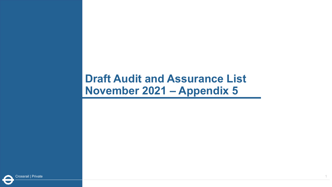## **Draft Audit and Assurance List November 2021 – Appendix 5**

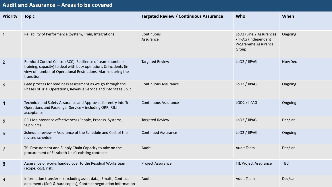## **Audit and Assurance – Areas to be covered**

| <b>Priority</b> | <b>Topic</b>                                                                                                                                                                                                   | <b>Targeted Review / Continuous Assurance</b> | Who                                                                              | When       |
|-----------------|----------------------------------------------------------------------------------------------------------------------------------------------------------------------------------------------------------------|-----------------------------------------------|----------------------------------------------------------------------------------|------------|
| $\mathbf{1}$    | Reliability of Performance (System, Train, Integration)                                                                                                                                                        | Continuous<br>Assurance                       | LoD2 (Line 2 Assurance)<br>/ IIPAG (Independent<br>Programme Assurance<br>Group) | Ongoing    |
| $\overline{2}$  | Romford Control Centre (RCC). Resilience of team (numbers,<br>training, capacity) to deal with busy operations & incidents (in<br>view of number of Operational Restrictions, Alarms during the<br>transition) | <b>Targeted Review</b>                        | LoD2 / IIPAG                                                                     | Nov/Dec    |
| 3               | Gate process for readiness assessment as we go through the<br>Phases of Trial Operations, Revenue Service and into Stage 5b, c.                                                                                | <b>Continuous Assurance</b>                   | LoD2 / IIPAG                                                                     | Ongoing    |
| $\overline{4}$  | Technical and Safety Assurance and Approvals for entry into Trial<br>Operations and Passenger Service - including ORR, RfLi<br>acceptance                                                                      | <b>Continuous Assurance</b>                   | LOD2 / IIPAG                                                                     | Ongoing    |
| 5               | RFLI Maintenance effectiveness (People, Process, Systems,<br>Suppliers)                                                                                                                                        | <b>Targeted Review</b>                        | LoD2 / IIPAG                                                                     | Dec/Jan    |
| 6               | Schedule review - Assurance of the Schedule and Cost of the<br>revised schedule                                                                                                                                | <b>Continued Assurance</b>                    | LoD2 / IIPAG                                                                     | Ongoing    |
| $\overline{7}$  | TfL Procurement and Supply Chain Capacity to take on the<br>procurement of Elizabeth Line's existing contracts.                                                                                                | Audit                                         | <b>Audit Team</b>                                                                | Dec/Jan    |
| 8               | Assurance of works handed over to the Residual Works team<br>(scope, cost, risk)                                                                                                                               | Project Assurance                             | <b>TfL Project Assurance</b>                                                     | <b>TBC</b> |
| 9               | Information transfer - (excluding asset data), Emails, Contract<br>documents (Soft & hard copies), Contract negotiation information                                                                            | Audit                                         | <b>Audit Team</b>                                                                | Dec/Jan    |